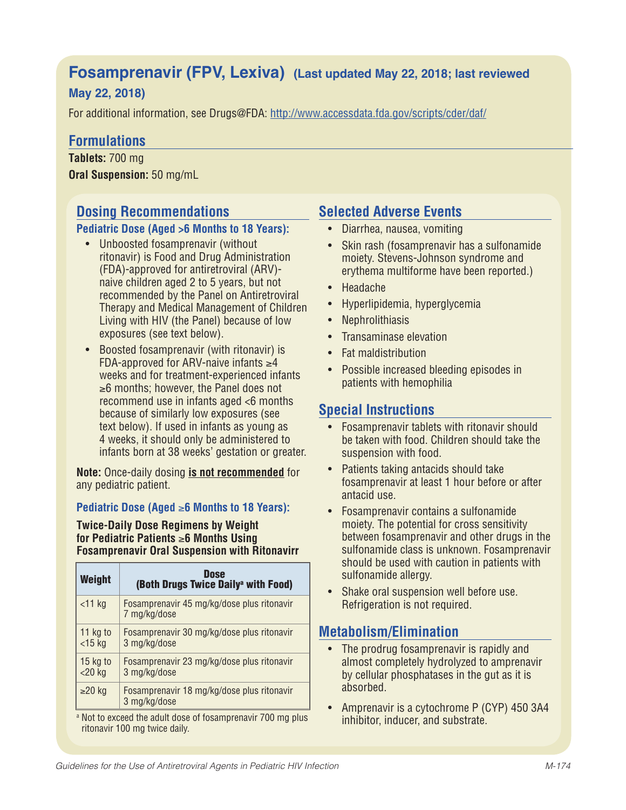# **Fosamprenavir (FPV, Lexiva) (Last updated May 22, 2018; last reviewed**

## **May 22, 2018)**

For additional information, see Drugs@FDA: http://www.accessdata.fda.gov/scripts/cder/daf/

## **Formulations**

**Tablets:** 700 mg **Oral Suspension:** 50 mg/mL

# **Dosing Recommendations**

#### **Pediatric Dose (Aged >6 Months to 18 Years):**

- Unboosted fosamprenavir (without ritonavir) is Food and Drug Administration (FDA)-approved for antiretroviral (ARV) naive children aged 2 to 5 years, but not recommended by the Panel on Antiretroviral Therapy and Medical Management of Children Living with HIV (the Panel) because of low exposures (see text below).
- Boosted fosamprenavir (with ritonavir) is FDA-approved for ARV-naive infants  $\geq 4$ weeks and for treatment-experienced infants ≥6 months; however, the Panel does not recommend use in infants aged <6 months because of similarly low exposures (see text below). If used in infants as young as 4 weeks, it should only be administered to infants born at 38 weeks' gestation or greater.

**Note:** Once-daily dosing **is not recommended** for any pediatric patient.

### **Pediatric Dose (Aged** ≥**6 Months to 18 Years):**

**Twice-Daily Dose Regimens by Weight for Pediatric Patients** ≥**6 Months Using Fosamprenavir Oral Suspension with Ritonavirr**

| Weight                    | Dose<br>(Both Drugs Twice Daily <sup>a</sup> with Food)    |
|---------------------------|------------------------------------------------------------|
| <11 kg                    | Fosamprenavir 45 mg/kg/dose plus ritonavir<br>7 mg/kg/dose |
| 11 kg to<br>$<$ 15 kg     | Fosamprenavir 30 mg/kg/dose plus ritonavir<br>3 mg/kg/dose |
| 15 $kg$ to<br>$<$ 20 $kg$ | Fosamprenavir 23 mg/kg/dose plus ritonavir<br>3 mg/kg/dose |
| $≥20$ kg                  | Fosamprenavir 18 mg/kg/dose plus ritonavir<br>3 mg/kg/dose |

<sup>a</sup> Not to exceed the adult dose of fosamprenavir 700 mg plus ritonavir 100 mg twice daily.

## **Selected Adverse Events**

- Diarrhea, nausea, vomiting
- Skin rash (fosamprenavir has a sulfonamide moiety. Stevens-Johnson syndrome and erythema multiforme have been reported.)
- Headache
- Hyperlipidemia, hyperglycemia
- Nephrolithiasis
- Transaminase elevation
- Fat maldistribution
- Possible increased bleeding episodes in patients with hemophilia

## **Special Instructions**

- Fosamprenavir tablets with ritonavir should be taken with food. Children should take the suspension with food.
- Patients taking antacids should take fosamprenavir at least 1 hour before or after antacid use.
- Fosamprenavir contains a sulfonamide moiety. The potential for cross sensitivity between fosamprenavir and other drugs in the sulfonamide class is unknown. Fosamprenavir should be used with caution in patients with sulfonamide allergy.
- Shake oral suspension well before use. Refrigeration is not required.

## **Metabolism/Elimination**

- The prodrug fosamprenavir is rapidly and almost completely hydrolyzed to amprenavir by cellular phosphatases in the gut as it is absorbed.
- Amprenavir is a cytochrome P (CYP) 450 3A4 inhibitor, inducer, and substrate.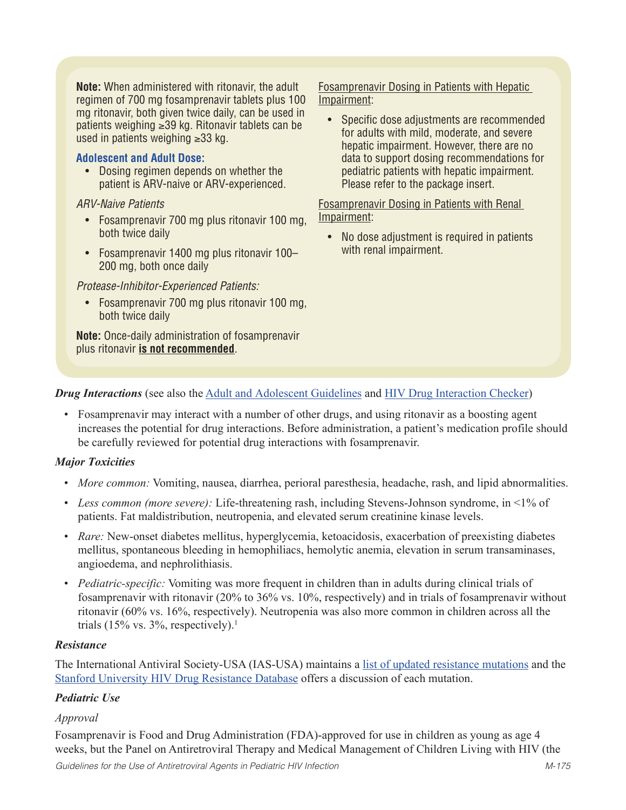**Note:** When administered with ritonavir, the adult regimen of 700 mg fosamprenavir tablets plus 100 mg ritonavir, both given twice daily, can be used in patients weighing ≥39 kg. Ritonavir tablets can be used in patients weighing ≥33 kg.

#### **Adolescent and Adult Dose:**

• Dosing regimen depends on whether the patient is ARV-naive or ARV-experienced.

*ARV-Naive Patients*

- Fosamprenavir 700 mg plus ritonavir 100 mg. both twice daily
- Fosamprenavir 1400 mg plus ritonavir 100– 200 mg, both once daily

*Protease-Inhibitor-Experienced Patients:*

• Fosamprenavir 700 mg plus ritonavir 100 mg, both twice daily

**Note:** Once-daily administration of fosamprenavir plus ritonavir **is not recommended**.

Fosamprenavir Dosing in Patients with Hepatic Impairment:

• Specific dose adjustments are recommended for adults with mild, moderate, and severe hepatic impairment. However, there are no data to support dosing recommendations for pediatric patients with hepatic impairment. Please refer to the package insert.

Fosamprenavir Dosing in Patients with Renal Impairment:

• No dose adjustment is required in patients with renal impairment.

### *Drug Interactions* (see also the Adult and Adolescent Guidelines and HIV Drug Interaction Checker)

• Fosamprenavir may interact with a number of other drugs, and using ritonavir as a boosting agent increases the potential for drug interactions. Before administration, a patient's medication profile should be carefully reviewed for potential drug interactions with fosamprenavir.

### *Major Toxicities*

- *More common:* Vomiting, nausea, diarrhea, perioral paresthesia, headache, rash, and lipid abnormalities.
- Less common (more severe): Life-threatening rash, including Stevens-Johnson syndrome, in <1% of patients. Fat maldistribution, neutropenia, and elevated serum creatinine kinase levels.
- *Rare:* New-onset diabetes mellitus, hyperglycemia, ketoacidosis, exacerbation of preexisting diabetes mellitus, spontaneous bleeding in hemophiliacs, hemolytic anemia, elevation in serum transaminases, angioedema, and nephrolithiasis.
- *Pediatric-specific:* Vomiting was more frequent in children than in adults during clinical trials of fosamprenavir with ritonavir (20% to 36% vs. 10%, respectively) and in trials of fosamprenavir without ritonavir (60% vs. 16%, respectively). Neutropenia was also more common in children across all the trials (15% vs. 3%, respectively).<sup>1</sup>

#### *Resistance*

The International Antiviral Society-USA (IAS-USA) maintains a list of updated resistance mutations and the Stanford University HIV Drug Resistance Database offers a discussion of each mutation.

### *Pediatric Use*

#### *Approval*

Fosamprenavir is Food and Drug Administration (FDA)-approved for use in children as young as age 4 weeks, but the Panel on Antiretroviral Therapy and Medical Management of Children Living with HIV (the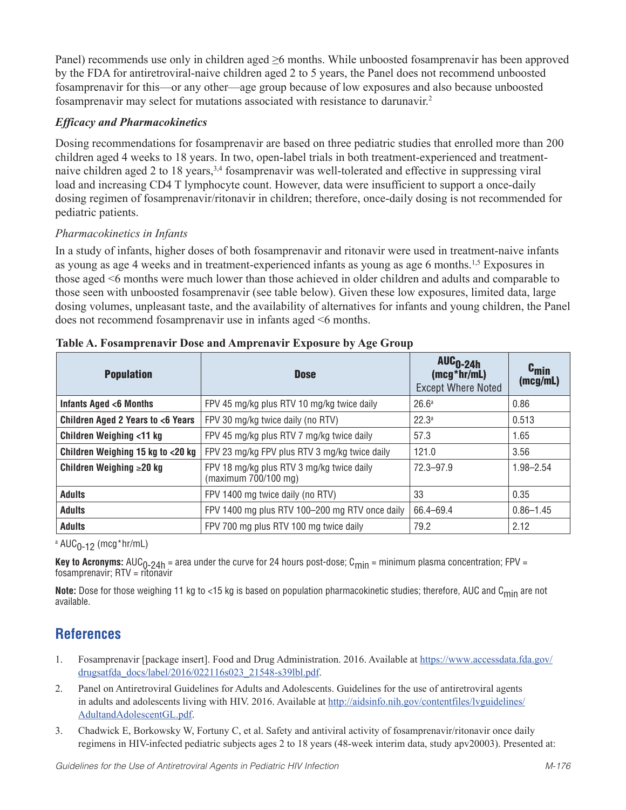Panel) recommends use only in children aged ≥6 months. While unboosted fosamprenavir has been approved by the FDA for antiretroviral-naive children aged 2 to 5 years, the Panel does not recommend unboosted fosamprenavir for this—or any other—age group because of low exposures and also because unboosted fosamprenavir may select for mutations associated with resistance to darunavir.2

## *Efficacy and Pharmacokinetics*

Dosing recommendations for fosamprenavir are based on three pediatric studies that enrolled more than 200 children aged 4 weeks to 18 years. In two, open-label trials in both treatment-experienced and treatmentnaive children aged 2 to 18 years,3,4 fosamprenavir was well-tolerated and effective in suppressing viral load and increasing CD4 T lymphocyte count. However, data were insufficient to support a once-daily dosing regimen of fosamprenavir/ritonavir in children; therefore, once-daily dosing is not recommended for pediatric patients.

## *Pharmacokinetics in Infants*

In a study of infants, higher doses of both fosamprenavir and ritonavir were used in treatment-naive infants as young as age 4 weeks and in treatment-experienced infants as young as age 6 months.1,5 Exposures in those aged <6 months were much lower than those achieved in older children and adults and comparable to those seen with unboosted fosamprenavir (see table below). Given these low exposures, limited data, large dosing volumes, unpleasant taste, and the availability of alternatives for infants and young children, the Panel does not recommend fosamprenavir use in infants aged <6 months.

| <b>Population</b>                  | <b>Dose</b>                                                       | $AUC_{0-24h}$<br>$(mcg*hr/mL)$<br><b>Except Where Noted</b> | $c_{min}$<br>(mcg/mL) |
|------------------------------------|-------------------------------------------------------------------|-------------------------------------------------------------|-----------------------|
| Infants Aged <6 Months             | FPV 45 mg/kg plus RTV 10 mg/kg twice daily                        | 26.6 <sup>a</sup>                                           | 0.86                  |
| Children Aged 2 Years to <6 Years  | FPV 30 mg/kg twice daily (no RTV)                                 | 22.3a                                                       | 0.513                 |
| <b>Children Weighing &lt;11 kg</b> | FPV 45 mg/kg plus RTV 7 mg/kg twice daily                         | 57.3                                                        | 1.65                  |
| Children Weighing 15 kg to <20 kg  | FPV 23 mg/kg FPV plus RTV 3 mg/kg twice daily                     | 121.0                                                       | 3.56                  |
| Children Weighing $\geq 20$ kg     | FPV 18 mg/kg plus RTV 3 mg/kg twice daily<br>(maximum 700/100 mg) | 72.3-97.9                                                   | $1.98 - 2.54$         |
| <b>Adults</b>                      | FPV 1400 mg twice daily (no RTV)                                  | 33                                                          | 0.35                  |
| <b>Adults</b>                      | FPV 1400 mg plus RTV 100-200 mg RTV once daily                    | 66.4-69.4                                                   | $0.86 - 1.45$         |
| <b>Adults</b>                      | FPV 700 mg plus RTV 100 mg twice daily                            | 79.2                                                        | 2.12                  |

| Table A. Fosamprenavir Dose and Amprenavir Exposure by Age Group |  |  |
|------------------------------------------------------------------|--|--|
|                                                                  |  |  |

<sup>a</sup> AUC<sub>O-12</sub> (mcg\*hr/mL)

**Key to Acronyms:** AUC<sub>0-24h</sub> = area under the curve for 24 hours post-dose; C<sub>min</sub> = minimum plasma concentration; FPV =<br>fosamprenavir; RTV = ritonavir

Note: Dose for those weighing 11 kg to <15 kg is based on population pharmacokinetic studies; therefore, AUC and C<sub>min</sub> are not available.

# **References**

- 1. Fosamprenavir [package insert]. Food and Drug Administration. 2016. Available at https://www.accessdata.fda.gov/ drugsatfda\_docs/label/2016/022116s023\_21548-s39lbl.pdf.
- 2. Panel on Antiretroviral Guidelines for Adults and Adolescents. Guidelines for the use of antiretroviral agents in adults and adolescents living with HIV. 2016. Available at http://aidsinfo.nih.gov/contentfiles/lvguidelines/ AdultandAdolescentGL.pdf.
- 3. Chadwick E, Borkowsky W, Fortuny C, et al. Safety and antiviral activity of fosamprenavir/ritonavir once daily regimens in HIV-infected pediatric subjects ages 2 to 18 years (48-week interim data, study apv20003). Presented at: